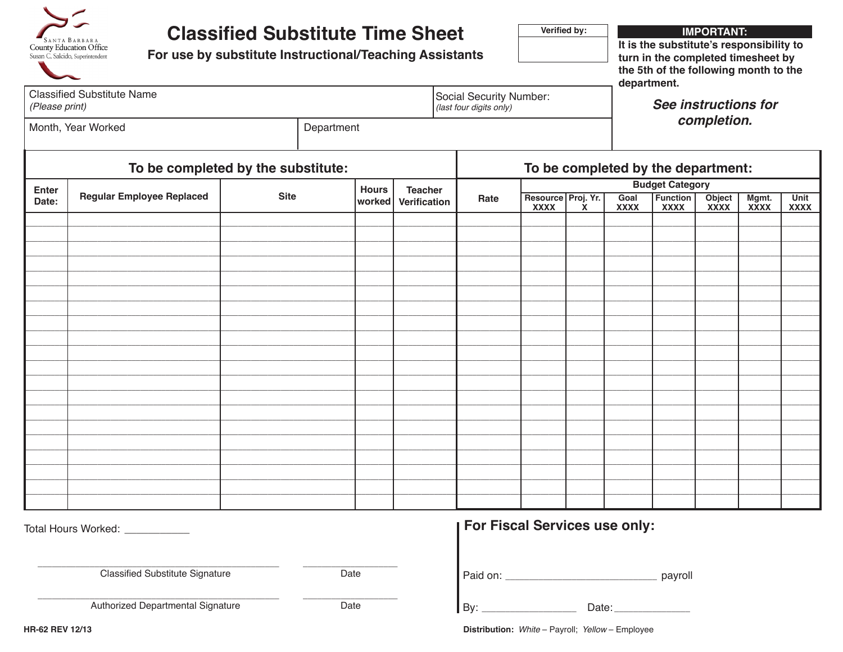

## **Classified Substitute Time Sheet**

For use by substitute Instructional/Teaching Assistants

Verified by:

## **IMPORTANT:**

It is the substitute's responsibility to turn in the completed timesheet by the 5th of the following month to the

| completion.<br>Department<br>Month, Year Worked<br>To be completed by the substitute:<br>To be completed by the department:<br><b>Budget Category</b><br>Enter<br><b>Hours</b><br><b>Teacher</b><br><b>Regular Employee Replaced</b><br><b>Site</b><br>Function<br>Resource Proj. Yr.<br>Goal<br>Object<br>XXXX<br>Mgmt.<br>Unit<br>Rate<br><b>Verification</b><br>Date:<br>worked<br><b>XXXX</b><br><b>XXXX</b><br><b>XXXX</b><br><b>XXXX</b><br><b>XXXX</b><br>$\mathsf{x}$ | <b>Classified Substitute Name</b><br>Social Security Number:<br>(Please print)<br>(last four digits only) |  |  |  |  |  |  |  |  |  | department.<br>See instructions for |  |  |  |
|-------------------------------------------------------------------------------------------------------------------------------------------------------------------------------------------------------------------------------------------------------------------------------------------------------------------------------------------------------------------------------------------------------------------------------------------------------------------------------|-----------------------------------------------------------------------------------------------------------|--|--|--|--|--|--|--|--|--|-------------------------------------|--|--|--|
|                                                                                                                                                                                                                                                                                                                                                                                                                                                                               |                                                                                                           |  |  |  |  |  |  |  |  |  |                                     |  |  |  |
|                                                                                                                                                                                                                                                                                                                                                                                                                                                                               |                                                                                                           |  |  |  |  |  |  |  |  |  |                                     |  |  |  |
|                                                                                                                                                                                                                                                                                                                                                                                                                                                                               |                                                                                                           |  |  |  |  |  |  |  |  |  |                                     |  |  |  |
|                                                                                                                                                                                                                                                                                                                                                                                                                                                                               |                                                                                                           |  |  |  |  |  |  |  |  |  |                                     |  |  |  |
|                                                                                                                                                                                                                                                                                                                                                                                                                                                                               |                                                                                                           |  |  |  |  |  |  |  |  |  |                                     |  |  |  |
|                                                                                                                                                                                                                                                                                                                                                                                                                                                                               |                                                                                                           |  |  |  |  |  |  |  |  |  |                                     |  |  |  |
|                                                                                                                                                                                                                                                                                                                                                                                                                                                                               |                                                                                                           |  |  |  |  |  |  |  |  |  |                                     |  |  |  |
|                                                                                                                                                                                                                                                                                                                                                                                                                                                                               |                                                                                                           |  |  |  |  |  |  |  |  |  |                                     |  |  |  |
|                                                                                                                                                                                                                                                                                                                                                                                                                                                                               |                                                                                                           |  |  |  |  |  |  |  |  |  |                                     |  |  |  |
|                                                                                                                                                                                                                                                                                                                                                                                                                                                                               |                                                                                                           |  |  |  |  |  |  |  |  |  |                                     |  |  |  |
|                                                                                                                                                                                                                                                                                                                                                                                                                                                                               |                                                                                                           |  |  |  |  |  |  |  |  |  |                                     |  |  |  |
|                                                                                                                                                                                                                                                                                                                                                                                                                                                                               |                                                                                                           |  |  |  |  |  |  |  |  |  |                                     |  |  |  |
|                                                                                                                                                                                                                                                                                                                                                                                                                                                                               |                                                                                                           |  |  |  |  |  |  |  |  |  |                                     |  |  |  |
|                                                                                                                                                                                                                                                                                                                                                                                                                                                                               |                                                                                                           |  |  |  |  |  |  |  |  |  |                                     |  |  |  |
|                                                                                                                                                                                                                                                                                                                                                                                                                                                                               |                                                                                                           |  |  |  |  |  |  |  |  |  |                                     |  |  |  |
|                                                                                                                                                                                                                                                                                                                                                                                                                                                                               |                                                                                                           |  |  |  |  |  |  |  |  |  |                                     |  |  |  |
|                                                                                                                                                                                                                                                                                                                                                                                                                                                                               |                                                                                                           |  |  |  |  |  |  |  |  |  |                                     |  |  |  |
|                                                                                                                                                                                                                                                                                                                                                                                                                                                                               |                                                                                                           |  |  |  |  |  |  |  |  |  |                                     |  |  |  |
|                                                                                                                                                                                                                                                                                                                                                                                                                                                                               |                                                                                                           |  |  |  |  |  |  |  |  |  |                                     |  |  |  |
|                                                                                                                                                                                                                                                                                                                                                                                                                                                                               |                                                                                                           |  |  |  |  |  |  |  |  |  |                                     |  |  |  |
|                                                                                                                                                                                                                                                                                                                                                                                                                                                                               |                                                                                                           |  |  |  |  |  |  |  |  |  |                                     |  |  |  |

| <b>Total Hours Worked:</b>             |      | <b>I For Fiscal Services use only:</b> |         |  |  |  |  |
|----------------------------------------|------|----------------------------------------|---------|--|--|--|--|
| <b>Classified Substitute Signature</b> | Date | Paid on:                               | payroll |  |  |  |  |
| Authorized Departmental Signature      | Date | By:                                    | Date:   |  |  |  |  |

Distribution: White - Payroll; Yellow - Employee